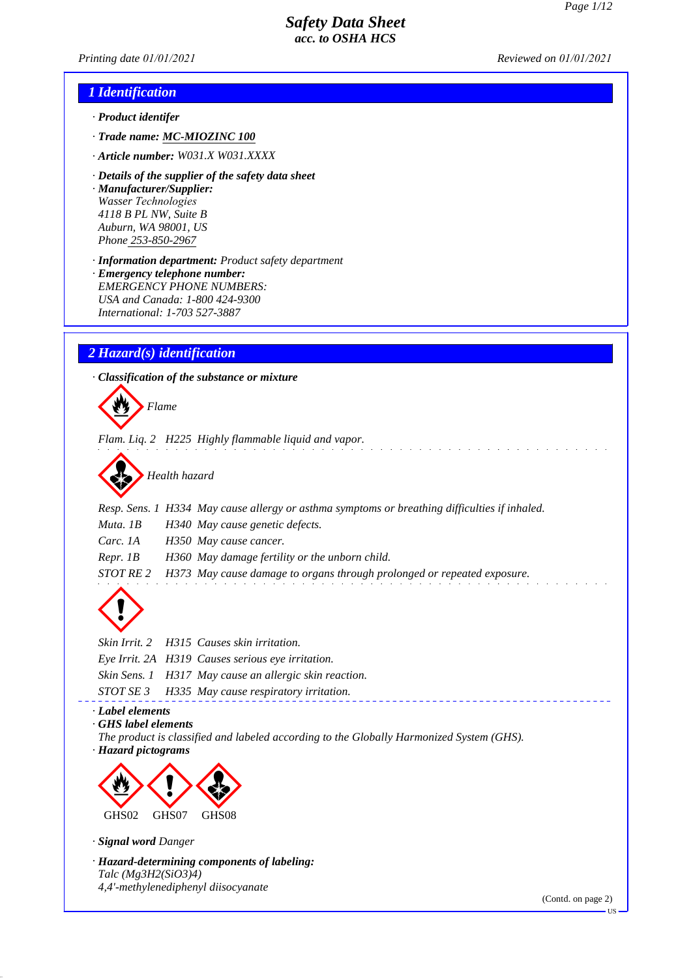*Printing date 01/01/2021 Reviewed on 01/01/2021*

## *1 Identification*

- *· Product identifer*
- *· Trade name: MC-MIOZINC 100*
- *· Article number: W031.X W031.XXXX*
- *· Details of the supplier of the safety data sheet · Manufacturer/Supplier: Wasser Technologies 4118 B PL NW, Suite B Auburn, WA 98001, US Phone 253-850-2967*
- *· Information department: Product safety department · Emergency telephone number: EMERGENCY PHONE NUMBERS: USA and Canada: 1-800 424-9300 International: 1-703 527-3887*

## *2 Hazard(s) identification*

*· Classification of the substance or mixture*



*Flam. Liq. 2 H225 Highly flammable liquid and vapor.*



- *Resp. Sens. 1 H334 May cause allergy or asthma symptoms or breathing difficulties if inhaled.*
- *Muta. 1B H340 May cause genetic defects.*
- *Carc. 1A H350 May cause cancer.*
- *Repr. 1B H360 May damage fertility or the unborn child.*

*STOT RE 2 H373 May cause damage to organs through prolonged or repeated exposure.*



*Skin Irrit. 2 H315 Causes skin irritation. Eye Irrit. 2A H319 Causes serious eye irritation. Skin Sens. 1 H317 May cause an allergic skin reaction. STOT SE 3 H335 May cause respiratory irritation.*

#### *· Label elements*

- *· GHS label elements*
- *The product is classified and labeled according to the Globally Harmonized System (GHS).*
- *· Hazard pictograms*



*· Signal word Danger*

*· Hazard-determining components of labeling: Talc (Mg3H2(SiO3)4) 4,4'-methylenediphenyl diisocyanate*

(Contd. on page 2)

US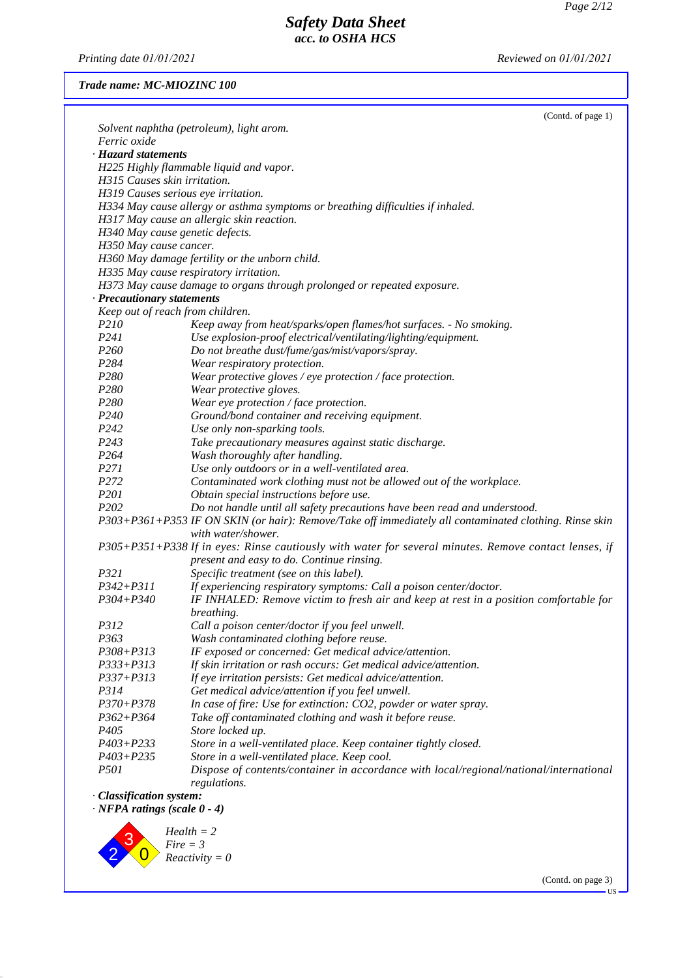*Printing date 01/01/2021 Reviewed on 01/01/2021*

### *Trade name: MC-MIOZINC 100*

|                                    | (Contd. of page 1)                                                                                     |
|------------------------------------|--------------------------------------------------------------------------------------------------------|
|                                    | Solvent naphtha (petroleum), light arom.                                                               |
| Ferric oxide                       |                                                                                                        |
| · Hazard statements                |                                                                                                        |
|                                    | H225 Highly flammable liquid and vapor.                                                                |
| H315 Causes skin irritation.       |                                                                                                        |
|                                    | H319 Causes serious eye irritation.                                                                    |
|                                    | H334 May cause allergy or asthma symptoms or breathing difficulties if inhaled.                        |
|                                    | H317 May cause an allergic skin reaction.                                                              |
|                                    | H340 May cause genetic defects.                                                                        |
| H350 May cause cancer.             |                                                                                                        |
|                                    | H360 May damage fertility or the unborn child.                                                         |
|                                    | H335 May cause respiratory irritation.                                                                 |
|                                    | H373 May cause damage to organs through prolonged or repeated exposure.                                |
| · Precautionary statements         |                                                                                                        |
|                                    | Keep out of reach from children.                                                                       |
| P210                               | Keep away from heat/sparks/open flames/hot surfaces. - No smoking.                                     |
| P241                               | Use explosion-proof electrical/ventilating/lighting/equipment.                                         |
| P <sub>260</sub>                   | Do not breathe dust/fume/gas/mist/vapors/spray.                                                        |
| P <sub>2</sub> 84                  | Wear respiratory protection.                                                                           |
| P280                               | Wear protective gloves / eye protection / face protection.                                             |
| P <sub>280</sub>                   | Wear protective gloves.                                                                                |
| P280                               | Wear eye protection / face protection.                                                                 |
| P <sub>240</sub>                   | Ground/bond container and receiving equipment.                                                         |
| P242                               | Use only non-sparking tools.                                                                           |
| P <sub>243</sub>                   | Take precautionary measures against static discharge.                                                  |
| P <sub>264</sub>                   | Wash thoroughly after handling.                                                                        |
| P <sub>271</sub>                   |                                                                                                        |
|                                    | Use only outdoors or in a well-ventilated area.                                                        |
| P272                               | Contaminated work clothing must not be allowed out of the workplace.                                   |
| P201                               | Obtain special instructions before use.                                                                |
| P <sub>202</sub>                   | Do not handle until all safety precautions have been read and understood.                              |
|                                    | P303+P361+P353 IF ON SKIN (or hair): Remove/Take off immediately all contaminated clothing. Rinse skin |
|                                    | with water/shower.                                                                                     |
|                                    | P305+P351+P338 If in eyes: Rinse cautiously with water for several minutes. Remove contact lenses, if  |
|                                    | present and easy to do. Continue rinsing.                                                              |
| P321                               | Specific treatment (see on this label).                                                                |
| $P342 + P311$                      | If experiencing respiratory symptoms: Call a poison center/doctor.                                     |
| P304+P340                          | IF INHALED: Remove victim to fresh air and keep at rest in a position comfortable for                  |
|                                    | breathing.                                                                                             |
| P312                               | Call a poison center/doctor if you feel unwell.                                                        |
| P363                               | Wash contaminated clothing before reuse.                                                               |
| P308+P313                          | IF exposed or concerned: Get medical advice/attention.                                                 |
| $P333 + P313$                      | If skin irritation or rash occurs: Get medical advice/attention.                                       |
| P337+P313                          | If eye irritation persists: Get medical advice/attention.                                              |
| P314                               | Get medical advice/attention if you feel unwell.                                                       |
| $P370 + P378$                      | In case of fire: Use for extinction: CO2, powder or water spray.                                       |
| $P362 + P364$                      | Take off contaminated clothing and wash it before reuse.                                               |
| P405                               | Store locked up.                                                                                       |
| $P403 + P233$                      | Store in a well-ventilated place. Keep container tightly closed.                                       |
| $P403 + P235$                      | Store in a well-ventilated place. Keep cool.                                                           |
| <i>P501</i>                        | Dispose of contents/container in accordance with local/regional/national/international                 |
|                                    | regulations.                                                                                           |
| · Classification system:           |                                                                                                        |
| $\cdot$ NFPA ratings (scale 0 - 4) |                                                                                                        |
|                                    |                                                                                                        |
|                                    | $Health = 2$                                                                                           |
|                                    | $Fire = 3$                                                                                             |
|                                    | $Reactivity = 0$                                                                                       |
|                                    |                                                                                                        |

(Contd. on page 3) US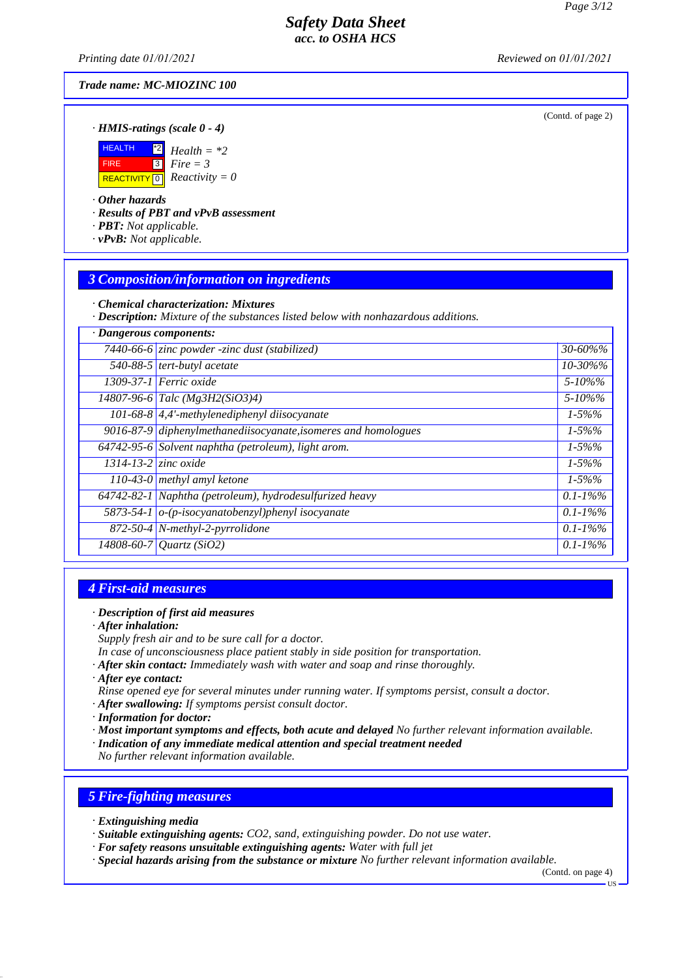*Printing date 01/01/2021 Reviewed on 01/01/2021*

*Trade name: MC-MIOZINC 100*

(Contd. of page 2)

### *· HMIS-ratings (scale 0 - 4)*



### *· Other hazards*

*· Results of PBT and vPvB assessment*

*· PBT: Not applicable.*

*· vPvB: Not applicable.*

# *3 Composition/information on ingredients*

*· Chemical characterization: Mixtures*

*· Description: Mixture of the substances listed below with nonhazardous additions.*

| · Dangerous components:    |                                                                |               |
|----------------------------|----------------------------------------------------------------|---------------|
|                            | 7440-66-6 zinc powder -zinc dust (stabilized)                  | $30 - 60\%$ % |
|                            | $\overline{540-88-5}$ tert-butyl acetate                       | 10-30%%       |
|                            | 1309-37-1 Ferric oxide                                         | $5 - 10\%$ %  |
|                            | $14807 - 96 - 6$ Talc (Mg3H2(SiO3)4)                           | $5 - 10\%$ %  |
|                            | 101-68-8 $\left $ 4,4'-methylenediphenyl diisocyanate          | $1 - 5\%%$    |
|                            | 9016-87-9 diphenylmethanediisocyanate, isomeres and homologues | $1 - 5\%%$    |
|                            | 64742-95-6 Solvent naphtha (petroleum), light arom.            | $1 - 5\%%$    |
| $1314 - 13 - 2$ zinc oxide |                                                                | $1 - 5\%%$    |
|                            | 110-43-0 methyl amyl ketone                                    | $1 - 5\%%$    |
|                            | $64742-82-1$ Naphtha (petroleum), hydrodesulfurized heavy      | $0.1 - 1\%$ % |
|                            | 5873-54-1 $o$ -(p-isocyanatobenzyl)phenyl isocyanate           | $0.1 - 1\%$ % |
|                            | 872-50-4 N-methyl-2-pyrrolidone                                | $0.1 - 1\%$ % |
|                            | 14808-60-7 Quartz (SiO2)                                       | $0.1 - 1\%$ % |

### *4 First-aid measures*

#### *· Description of first aid measures*

- *· After inhalation:*
- *Supply fresh air and to be sure call for a doctor.*
- *In case of unconsciousness place patient stably in side position for transportation.*
- *· After skin contact: Immediately wash with water and soap and rinse thoroughly.*
- *· After eye contact:*
- *Rinse opened eye for several minutes under running water. If symptoms persist, consult a doctor.*
- *· After swallowing: If symptoms persist consult doctor.*
- *· Information for doctor:*
- *· Most important symptoms and effects, both acute and delayed No further relevant information available.*
- *· Indication of any immediate medical attention and special treatment needed*

*No further relevant information available.*

# *5 Fire-fighting measures*

- *· Extinguishing media*
- *· Suitable extinguishing agents: CO2, sand, extinguishing powder. Do not use water.*
- *· For safety reasons unsuitable extinguishing agents: Water with full jet*
- *· Special hazards arising from the substance or mixture No further relevant information available.*

(Contd. on page 4) US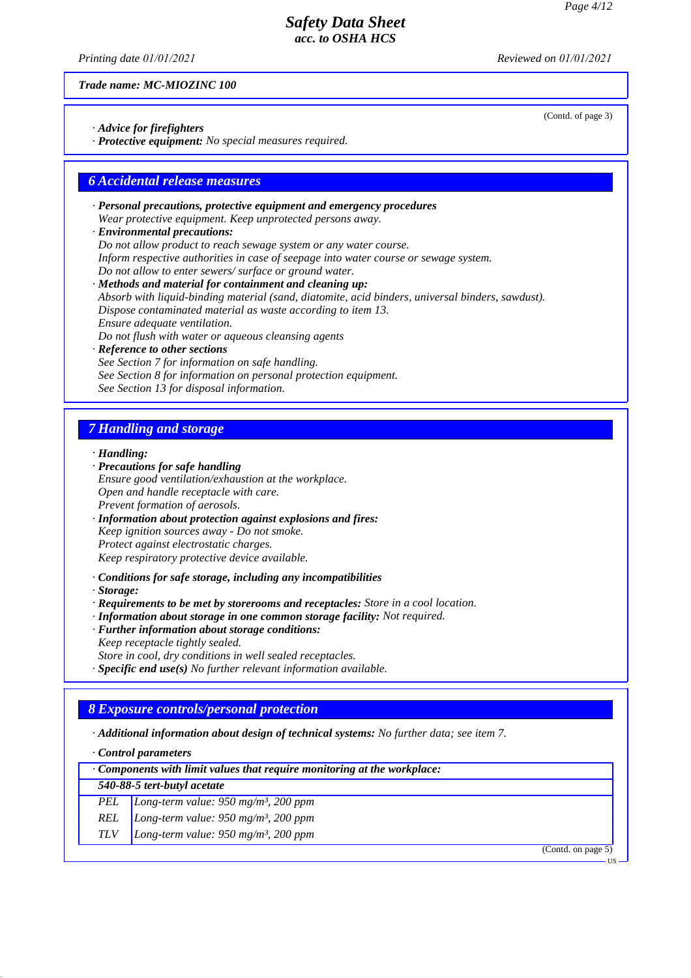(Contd. of page 3)

## *Safety Data Sheet acc. to OSHA HCS*

*Printing date 01/01/2021 Reviewed on 01/01/2021*

*Trade name: MC-MIOZINC 100*

*· Advice for firefighters*

*· Protective equipment: No special measures required.*

### *6 Accidental release measures*

- *· Personal precautions, protective equipment and emergency procedures Wear protective equipment. Keep unprotected persons away.*
- *· Environmental precautions: Do not allow product to reach sewage system or any water course. Inform respective authorities in case of seepage into water course or sewage system. Do not allow to enter sewers/ surface or ground water.*
- *· Methods and material for containment and cleaning up: Absorb with liquid-binding material (sand, diatomite, acid binders, universal binders, sawdust). Dispose contaminated material as waste according to item 13. Ensure adequate ventilation. Do not flush with water or aqueous cleansing agents · Reference to other sections See Section 7 for information on safe handling. See Section 8 for information on personal protection equipment.*
- *See Section 13 for disposal information.*

### *7 Handling and storage*

- *· Handling:*
- *· Precautions for safe handling Ensure good ventilation/exhaustion at the workplace. Open and handle receptacle with care. Prevent formation of aerosols. · Information about protection against explosions and fires:*
- *Keep ignition sources away Do not smoke. Protect against electrostatic charges. Keep respiratory protective device available.*
- *· Conditions for safe storage, including any incompatibilities*
- *· Storage:*
- *· Requirements to be met by storerooms and receptacles: Store in a cool location.*
- *· Information about storage in one common storage facility: Not required.*
- *· Further information about storage conditions: Keep receptacle tightly sealed.*
- *Store in cool, dry conditions in well sealed receptacles.*
- *· Specific end use(s) No further relevant information available.*

## *8 Exposure controls/personal protection*

- *· Additional information about design of technical systems: No further data; see item 7.*
- *· Control parameters*
- *· Components with limit values that require monitoring at the workplace:*

| 540-88-5 tert-butyl acetate |  |  |
|-----------------------------|--|--|
|-----------------------------|--|--|

- *PEL Long-term value: 950 mg/m³, 200 ppm*
- *REL Long-term value: 950 mg/m³, 200 ppm*
- *TLV Long-term value: 950 mg/m³, 200 ppm*

(Contd. on page 5)

US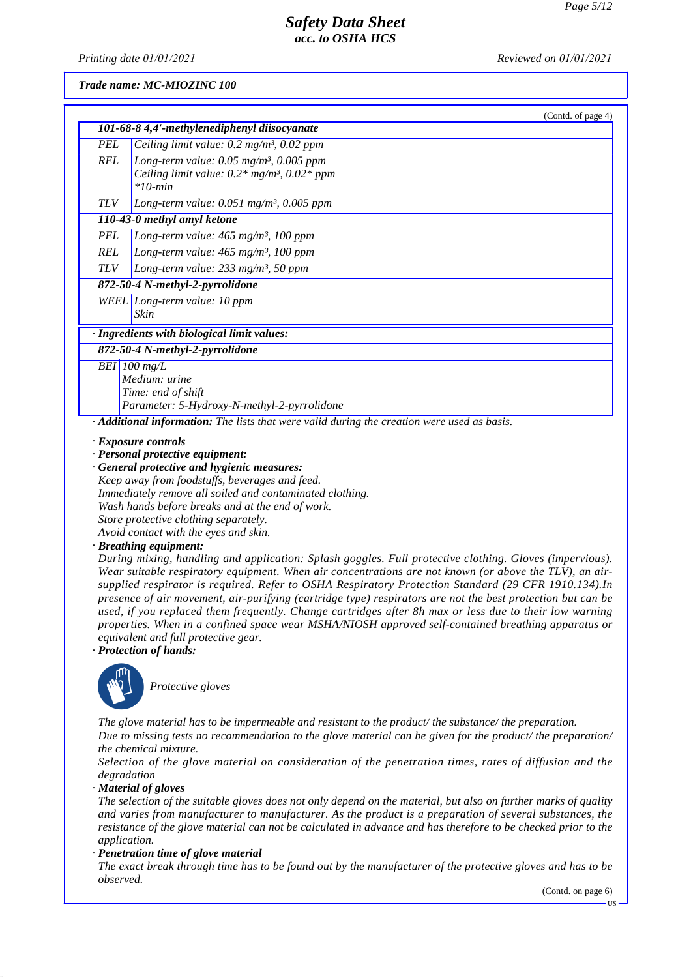*Printing date 01/01/2021 Reviewed on 01/01/2021*

### *Trade name: MC-MIOZINC 100*

|            | (Contd. of page 4)                                                                                                               |
|------------|----------------------------------------------------------------------------------------------------------------------------------|
|            | 101-68-8 4,4'-methylenediphenyl diisocyanate                                                                                     |
| <b>PEL</b> | Ceiling limit value: $0.2 \text{ mg/m}^3$ , $0.02 \text{ ppm}$                                                                   |
| REL        | Long-term value: 0.05 mg/m <sup>3</sup> , 0.005 ppm<br>Ceiling limit value: $0.2*$ mg/m <sup>3</sup> , $0.02*$ ppm<br>$*10$ -min |
| <b>TLV</b> | Long-term value: $0.051$ mg/m <sup>3</sup> , $0.005$ ppm                                                                         |
|            | 110-43-0 methyl amyl ketone                                                                                                      |
| <b>PEL</b> | Long-term value: $465$ mg/m <sup>3</sup> , 100 ppm                                                                               |
| <b>REL</b> | Long-term value: $465$ mg/m <sup>3</sup> , 100 ppm                                                                               |
| <b>TLV</b> | Long-term value: $233 \text{ mg/m}^3$ , 50 ppm                                                                                   |
|            | 872-50-4 N-methyl-2-pyrrolidone                                                                                                  |
|            | WEEL Long-term value: 10 ppm<br>Skin                                                                                             |
|            | · Ingredients with biological limit values:                                                                                      |
|            | 872-50-4 N-methyl-2-pyrrolidone                                                                                                  |
|            | BEI $100$ mg/L                                                                                                                   |
|            | Medium: urine                                                                                                                    |
|            | Time: end of shift                                                                                                               |
|            | Parameter: 5-Hydroxy-N-methyl-2-pyrrolidone                                                                                      |
|            | $\cdot$ <b>Additional information:</b> The lists that were valid during the creation were used as basis.                         |

*· Exposure controls*

*· Personal protective equipment:*

*· General protective and hygienic measures: Keep away from foodstuffs, beverages and feed. Immediately remove all soiled and contaminated clothing. Wash hands before breaks and at the end of work. Store protective clothing separately. Avoid contact with the eyes and skin.*

#### *· Breathing equipment:*

*During mixing, handling and application: Splash goggles. Full protective clothing. Gloves (impervious). Wear suitable respiratory equipment. When air concentrations are not known (or above the TLV), an airsupplied respirator is required. Refer to OSHA Respiratory Protection Standard (29 CFR 1910.134).In presence of air movement, air-purifying (cartridge type) respirators are not the best protection but can be used, if you replaced them frequently. Change cartridges after 8h max or less due to their low warning properties. When in a confined space wear MSHA/NIOSH approved self-contained breathing apparatus or equivalent and full protective gear.*

*· Protection of hands:*



**Protective gloves** 

*The glove material has to be impermeable and resistant to the product/ the substance/ the preparation. Due to missing tests no recommendation to the glove material can be given for the product/ the preparation/ the chemical mixture.*

*Selection of the glove material on consideration of the penetration times, rates of diffusion and the degradation*

*· Material of gloves*

*The selection of the suitable gloves does not only depend on the material, but also on further marks of quality and varies from manufacturer to manufacturer. As the product is a preparation of several substances, the resistance of the glove material can not be calculated in advance and has therefore to be checked prior to the application.*

*· Penetration time of glove material*

*The exact break through time has to be found out by the manufacturer of the protective gloves and has to be observed.*

(Contd. on page 6)

US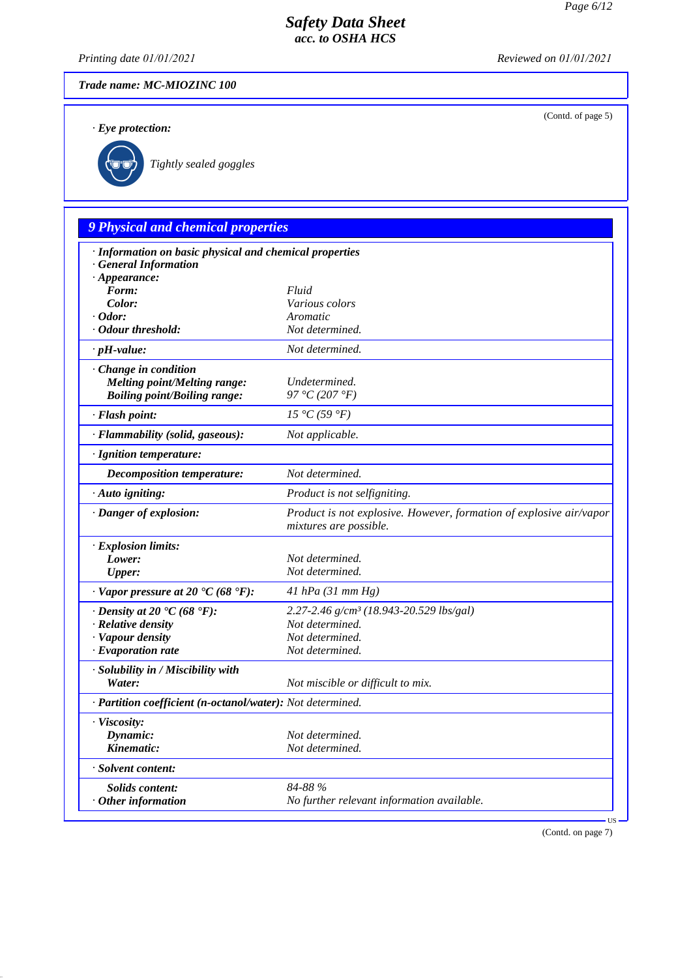(Contd. of page 5)

# *Safety Data Sheet acc. to OSHA HCS*

*Printing date 01/01/2021 Reviewed on 01/01/2021*

*Trade name: MC-MIOZINC 100*

*· Eye protection:*



`R*Tightly sealed goggles*

# *9 Physical and chemical properties*

| · Information on basic physical and chemical properties<br><b>General Information</b> |                                                                                               |
|---------------------------------------------------------------------------------------|-----------------------------------------------------------------------------------------------|
| $\cdot$ Appearance:                                                                   |                                                                                               |
| Form:                                                                                 | Fluid                                                                                         |
| Color:                                                                                | Various colors                                                                                |
| $\cdot$ Odor:                                                                         | Aromatic                                                                                      |
| · Odour threshold:                                                                    | Not determined.                                                                               |
| $\cdot$ pH-value:                                                                     | Not determined.                                                                               |
| Change in condition                                                                   |                                                                                               |
| <b>Melting point/Melting range:</b>                                                   | Undetermined.                                                                                 |
| <b>Boiling point/Boiling range:</b>                                                   | 97 °C (207 °F)                                                                                |
| · Flash point:                                                                        | 15 °C(59 °F)                                                                                  |
| · Flammability (solid, gaseous):                                                      | Not applicable.                                                                               |
| · Ignition temperature:                                                               |                                                                                               |
| <b>Decomposition temperature:</b>                                                     | Not determined.                                                                               |
| · Auto igniting:                                                                      | Product is not selfigniting.                                                                  |
| · Danger of explosion:                                                                | Product is not explosive. However, formation of explosive air/vapor<br>mixtures are possible. |
| · Explosion limits:                                                                   |                                                                                               |
| Lower:                                                                                | Not determined.                                                                               |
| <b>Upper:</b>                                                                         | Not determined.                                                                               |
| $\cdot$ Vapor pressure at 20 $\cdot$ C (68 $\cdot$ F):                                | $41$ hPa $(31$ mm Hg)                                                                         |
| $\cdot$ Density at 20 $\cdot$ C (68 $\cdot$ F):                                       | 2.27-2.46 g/cm <sup>3</sup> (18.943-20.529 lbs/gal)                                           |
| · Relative density                                                                    | Not determined.                                                                               |
| · Vapour density                                                                      | Not determined.                                                                               |
| $\cdot$ Evaporation rate                                                              | Not determined.                                                                               |
| · Solubility in / Miscibility with                                                    |                                                                                               |
| Water:                                                                                | Not miscible or difficult to mix.                                                             |
| · Partition coefficient (n-octanol/water): Not determined.                            |                                                                                               |
| · Viscosity:                                                                          |                                                                                               |
| Dynamic:                                                                              | Not determined.                                                                               |
| Kinematic:                                                                            | Not determined.                                                                               |
| · Solvent content:                                                                    |                                                                                               |
| <b>Solids content:</b>                                                                | 84-88 %                                                                                       |
| $·$ Other information                                                                 | No further relevant information available.                                                    |
|                                                                                       | <b>US</b>                                                                                     |

(Contd. on page 7)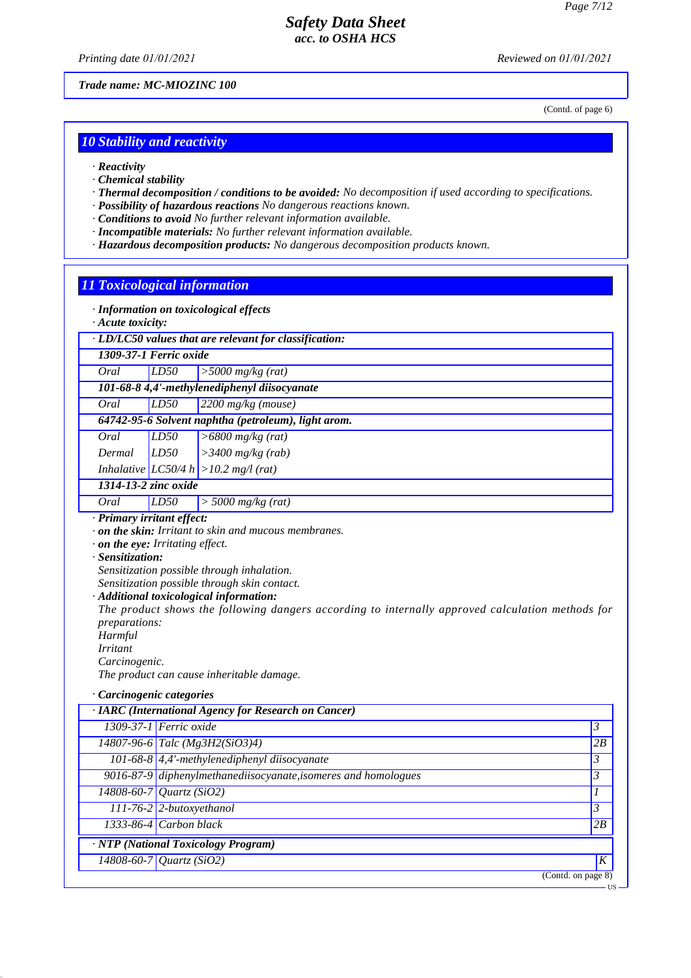*Printing date 01/01/2021 Reviewed on 01/01/2021*

*Trade name: MC-MIOZINC 100*

(Contd. of page 6)

US

### *10 Stability and reactivity*

- *· Reactivity*
- *· Chemical stability*
- *· Thermal decomposition / conditions to be avoided: No decomposition if used according to specifications.*
- *· Possibility of hazardous reactions No dangerous reactions known.*
- *· Conditions to avoid No further relevant information available.*
- *· Incompatible materials: No further relevant information available.*
- *· Hazardous decomposition products: No dangerous decomposition products known.*

### *11 Toxicological information*

- *· Information on toxicological effects*
- *· Acute toxicity:*

|  |  | $\cdot$ LD/LC50 values that are relevant for classification: |
|--|--|--------------------------------------------------------------|
|  |  |                                                              |

*1309-37-1 Ferric oxide*

*Oral LD50 >5000 mg/kg (rat)*

*101-68-8 4,4'-methylenediphenyl diisocyanate Oral LD50 2200 mg/kg (mouse)*

# *64742-95-6 Solvent naphtha (petroleum), light arom.*

| Oral   | LD50 | $\left  > 6800 \frac{\text{mg}}{\text{kg}} \right( \text{rat} \right)$           |
|--------|------|----------------------------------------------------------------------------------|
| Dermal | LD50 | $\vert$ > 3400 mg/kg (rab)                                                       |
|        |      | $L_{\text{th}}$ algebra $LCSO(4L) \times 10.2 \text{ m} \times 1 \text{ (stat)}$ |

# *Inhalative LC50/4 h >10.2 mg/l (rat)*

- *1314-13-2 zinc oxide*
- *Oral LD50 > 5000 mg/kg (rat)*
- *· Primary irritant effect:*
- *· on the skin: Irritant to skin and mucous membranes.*
- *· on the eye: Irritating effect.*
- *· Sensitization:*

*Sensitization possible through inhalation.*

*Sensitization possible through skin contact.*

*· Additional toxicological information:*

*The product shows the following dangers according to internally approved calculation methods for preparations:*

*Harmful*

- *Irritant*
- *Carcinogenic.*

*The product can cause inheritable damage.*

*· Carcinogenic categories*

| · IARC (International Agency for Research on Cancer)           |                   |   |
|----------------------------------------------------------------|-------------------|---|
| 1309-37-1 Ferric oxide                                         | $\mathfrak{Z}$    |   |
| $14807 - 96 - 6$ Talc (Mg3H2(SiO3)4)                           | 2B                |   |
| 101-68-8 4,4'-methylenediphenyl diisocyanate                   | 3                 |   |
| 9016-87-9 diphenylmethanediisocyanate, isomeres and homologues | 3                 |   |
| 14808-60-7 Quartz (SiO2)                                       |                   |   |
| 111-76-2 2-butoxyethanol                                       | 3                 |   |
| $1333-86-4$ Carbon black                                       | 2B                |   |
| · NTP (National Toxicology Program)                            |                   |   |
| 14808-60-7 Quartz (SiO2)                                       |                   | K |
|                                                                | (Cond. on page 8) |   |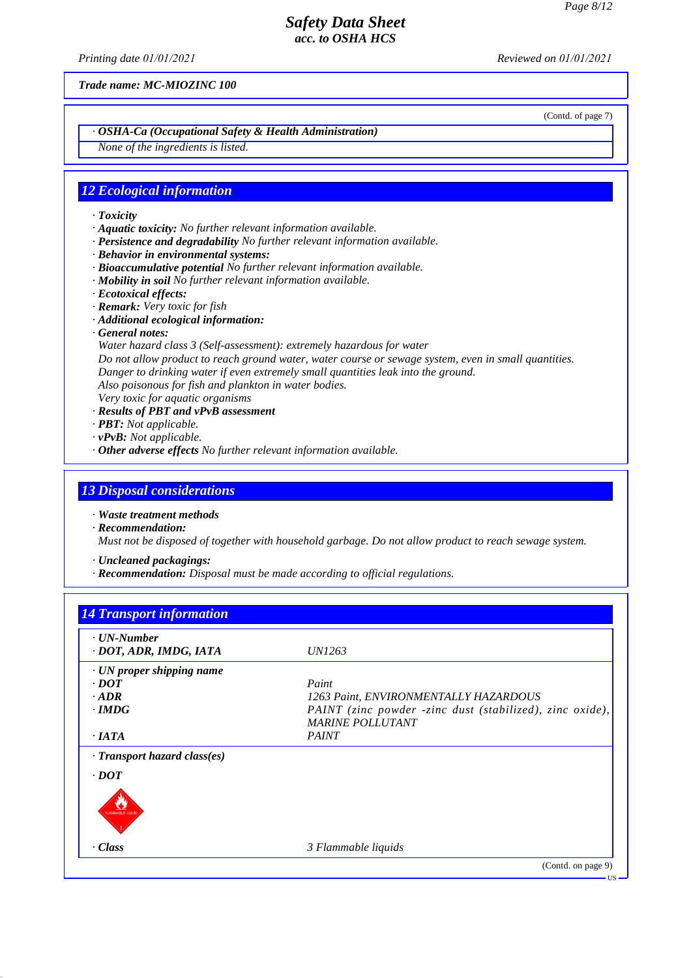*Printing date 01/01/2021 Reviewed on 01/01/2021*

*Trade name: MC-MIOZINC 100*

(Contd. of page 7)

### *· OSHA-Ca (Occupational Safety & Health Administration)*

*None of the ingredients is listed.*

### *12 Ecological information*

*· Toxicity*

- *· Aquatic toxicity: No further relevant information available.*
- *· Persistence and degradability No further relevant information available.*
- *· Behavior in environmental systems:*
- *· Bioaccumulative potential No further relevant information available.*
- *· Mobility in soil No further relevant information available.*
- *· Ecotoxical effects:*
- *· Remark: Very toxic for fish*
- *· Additional ecological information:*
- *· General notes:*
- *Water hazard class 3 (Self-assessment): extremely hazardous for water*
- *Do not allow product to reach ground water, water course or sewage system, even in small quantities. Danger to drinking water if even extremely small quantities leak into the ground.*
- *Also poisonous for fish and plankton in water bodies.*
- *Very toxic for aquatic organisms*
- *· Results of PBT and vPvB assessment*
- *· PBT: Not applicable.*
- *· vPvB: Not applicable.*
- *· Other adverse effects No further relevant information available.*

### *13 Disposal considerations*

*· Waste treatment methods*

- *· Recommendation: Must not be disposed of together with household garbage. Do not allow product to reach sewage system.*
- *· Uncleaned packagings:*
- *· Recommendation: Disposal must be made according to official regulations.*

# *14 Transport information · UN-Number · DOT, ADR, IMDG, IATA UN1263 · UN proper shipping name · DOT Paint · ADR 1263 Paint, ENVIRONMENTALLY HAZARDOUS · IMDG PAINT (zinc powder -zinc dust (stabilized), zinc oxide), MARINE POLLUTANT · IATA PAINT · Transport hazard class(es) · DOT* PLANMARIE LIQUID *· Class 3 Flammable liquids* (Contd. on page 9) US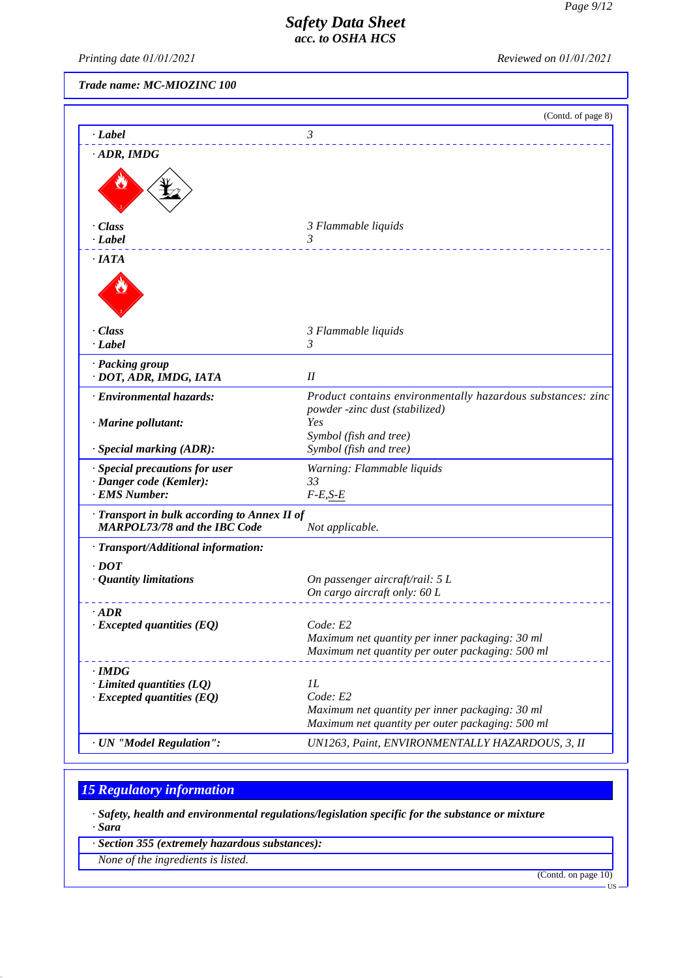*Printing date 01/01/2021 Reviewed on 01/01/2021*

*Trade name: MC-MIOZINC 100*

|                                                                                     | (Contd. of page 8)                                                                                  |
|-------------------------------------------------------------------------------------|-----------------------------------------------------------------------------------------------------|
| · Label                                                                             | 3                                                                                                   |
| $\cdot$ ADR, IMDG                                                                   |                                                                                                     |
|                                                                                     |                                                                                                     |
| $\cdot$ Class<br>· Label                                                            | 3 Flammable liquids<br>3<br>.                                                                       |
| $\cdot$ IATA                                                                        |                                                                                                     |
|                                                                                     |                                                                                                     |
| $\cdot$ Class                                                                       | 3 Flammable liquids                                                                                 |
| $\cdot$ <i>Label</i>                                                                | 3                                                                                                   |
| · Packing group<br>· DOT, ADR, IMDG, IATA                                           | I                                                                                                   |
| · Environmental hazards:                                                            | Product contains environmentally hazardous substances: zinc<br>powder -zinc dust (stabilized)       |
| · Marine pollutant:                                                                 | Yes                                                                                                 |
| · Special marking (ADR):                                                            | Symbol (fish and tree)<br>Symbol (fish and tree)                                                    |
| · Special precautions for user                                                      | Warning: Flammable liquids                                                                          |
| · Danger code (Kemler):                                                             | 33                                                                                                  |
| · EMS Number:                                                                       | $F-E,S-E$                                                                                           |
| · Transport in bulk according to Annex II of<br><b>MARPOL73/78 and the IBC Code</b> | Not applicable.                                                                                     |
| · Transport/Additional information:                                                 |                                                                                                     |
| $\cdot$ DOT                                                                         |                                                                                                     |
| · Quantity limitations                                                              | On passenger aircraft/rail: 5 L                                                                     |
|                                                                                     | On cargo aircraft only: 60 L                                                                        |
| $\cdot$ ADR                                                                         |                                                                                                     |
| $\cdot$ Excepted quantities (EQ)                                                    | Code: E2                                                                                            |
|                                                                                     | Maximum net quantity per inner packaging: 30 ml<br>Maximum net quantity per outer packaging: 500 ml |
| $\cdot$ IMDG                                                                        |                                                                                                     |
| $\cdot$ Limited quantities (LQ)                                                     | $_{1L}$                                                                                             |
| $\cdot$ Excepted quantities (EQ)                                                    | Code: E2                                                                                            |
|                                                                                     | Maximum net quantity per inner packaging: 30 ml                                                     |
|                                                                                     | Maximum net quantity per outer packaging: 500 ml                                                    |
| · UN "Model Regulation":                                                            | UN1263, Paint, ENVIRONMENTALLY HAZARDOUS, 3, II                                                     |

# *15 Regulatory information*

*· Safety, health and environmental regulations/legislation specific for the substance or mixture · Sara*

*· Section 355 (extremely hazardous substances):*

*None of the ingredients is listed.*

(Contd. on page 10)

US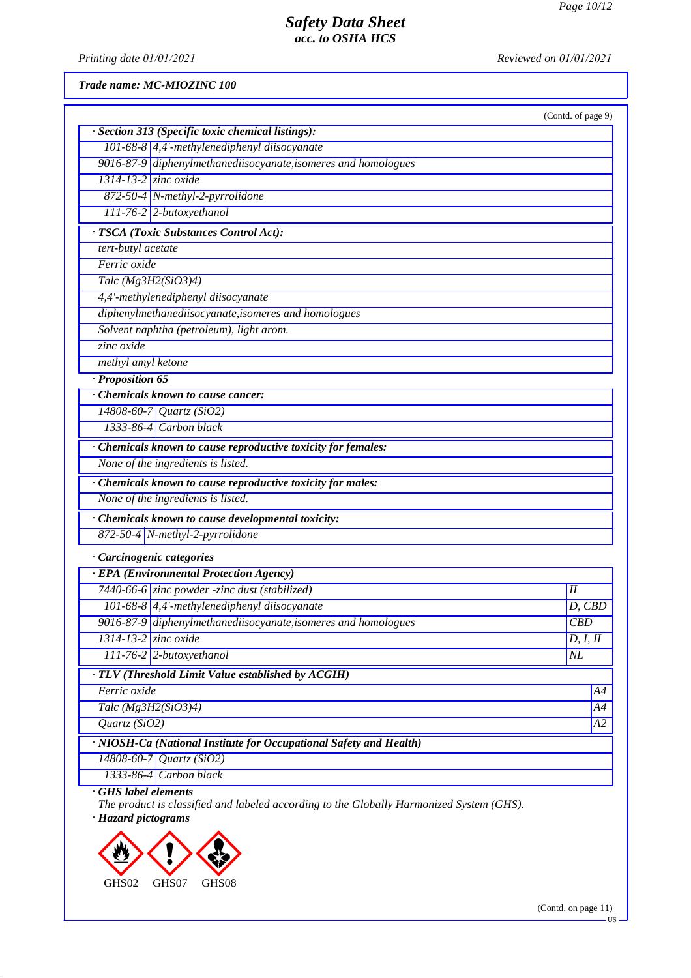*Printing date 01/01/2021 Reviewed on 01/01/2021*

*Trade name: MC-MIOZINC 100*

|                                                                    | (Contd. of page 9) |
|--------------------------------------------------------------------|--------------------|
| · Section 313 (Specific toxic chemical listings):                  |                    |
| 101-68-8 4,4'-methylenediphenyl diisocyanate                       |                    |
| 9016-87-9 diphenylmethanediisocyanate, isomeres and homologues     |                    |
| $1314 - 13 - 2$ zinc oxide                                         |                    |
| 872-50-4 N-methyl-2-pyrrolidone                                    |                    |
| $111-76-2$ 2-butoxyethanol                                         |                    |
| · TSCA (Toxic Substances Control Act):                             |                    |
| tert-butyl acetate                                                 |                    |
| Ferric oxide                                                       |                    |
| Talc $(Mg3H2(SiO3)4)$                                              |                    |
| 4,4'-methylenediphenyl diisocyanate                                |                    |
| diphenylmethanediisocyanate, isomeres and homologues               |                    |
| Solvent naphtha (petroleum), light arom.                           |                    |
| zinc oxide                                                         |                    |
| methyl amyl ketone                                                 |                    |
| $\cdot$ Proposition 65                                             |                    |
| Chemicals known to cause cancer:                                   |                    |
| 14808-60-7 Quartz (SiO2)                                           |                    |
| $1333-86-4$ Carbon black                                           |                    |
| · Chemicals known to cause reproductive toxicity for females:      |                    |
| None of the ingredients is listed.                                 |                    |
| · Chemicals known to cause reproductive toxicity for males:        |                    |
| None of the ingredients is listed.                                 |                    |
| · Chemicals known to cause developmental toxicity:                 |                    |
| 872-50-4 N-methyl-2-pyrrolidone                                    |                    |
| · Carcinogenic categories                                          |                    |
| <b>EPA</b> (Environmental Protection Agency)                       |                    |
| 7440-66-6 zinc powder -zinc dust (stabilized)                      | Н                  |
| 101-68-8 4,4'-methylenediphenyl diisocyanate                       | $D,$ $CBD$         |
| 9016-87-9 diphenylmethanediisocyanate, isomeres and homologues     | $\overline{CBD}$   |
| $1314 - 13 - 2$ zinc oxide                                         | D, I, II           |
| $111-76-2$ 2-butoxyethanol                                         | $\overline{NL}$    |
| · TLV (Threshold Limit Value established by ACGIH)                 |                    |
| Ferric oxide                                                       | A4                 |
|                                                                    | A4                 |
| Talc (Mg3H2(SiO3)4)                                                |                    |
| Quartz(SiO2)                                                       |                    |
| · NIOSH-Ca (National Institute for Occupational Safety and Health) |                    |
| 14808-60-7 Quartz (SiO2)                                           | A2                 |

*· Hazard pictograms*



(Contd. on page 11)

US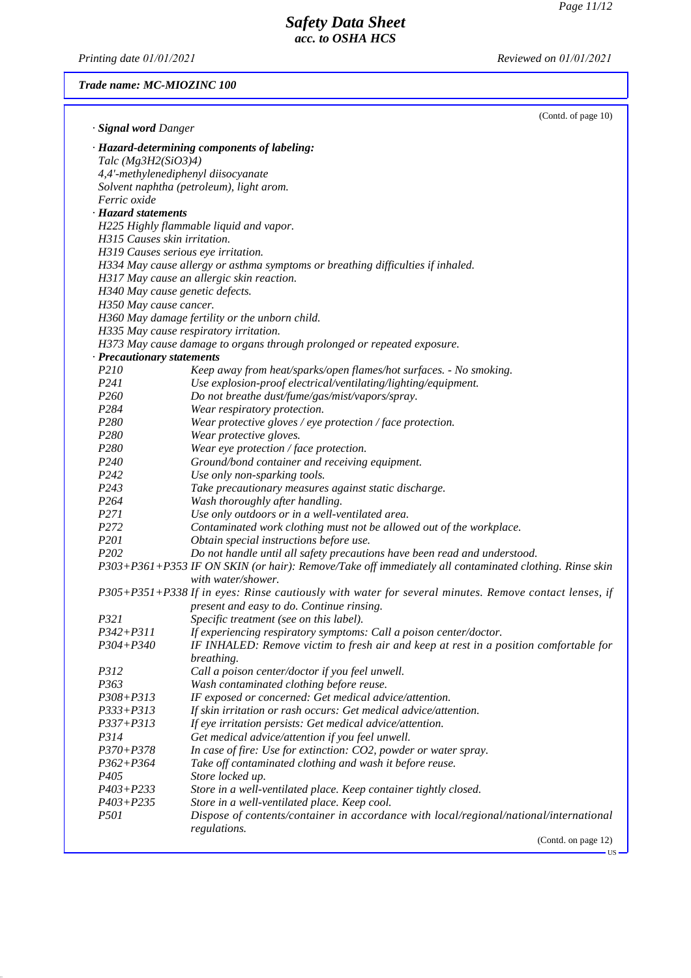$\overline{u}$ 

# *Safety Data Sheet acc. to OSHA HCS*

*Printing date 01/01/2021 Reviewed on 01/01/2021*

### *Trade name: MC-MIOZINC 100*

| · Signal word Danger         | (Contd. of page 10)                                                                                    |
|------------------------------|--------------------------------------------------------------------------------------------------------|
|                              | · Hazard-determining components of labeling:                                                           |
| Talc $(Mg3H2(SiO3)4)$        |                                                                                                        |
|                              | 4,4'-methylenediphenyl diisocyanate                                                                    |
|                              | Solvent naphtha (petroleum), light arom.                                                               |
| Ferric oxide                 |                                                                                                        |
| · Hazard statements          |                                                                                                        |
|                              | H225 Highly flammable liquid and vapor.                                                                |
| H315 Causes skin irritation. |                                                                                                        |
|                              | H319 Causes serious eye irritation.                                                                    |
|                              | H334 May cause allergy or asthma symptoms or breathing difficulties if inhaled.                        |
|                              | H317 May cause an allergic skin reaction.                                                              |
|                              | H340 May cause genetic defects.                                                                        |
| H350 May cause cancer.       |                                                                                                        |
|                              | H360 May damage fertility or the unborn child.                                                         |
|                              | H335 May cause respiratory irritation.                                                                 |
|                              | H373 May cause damage to organs through prolonged or repeated exposure.                                |
| · Precautionary statements   |                                                                                                        |
| P210                         | Keep away from heat/sparks/open flames/hot surfaces. - No smoking.                                     |
| P241                         | Use explosion-proof electrical/ventilating/lighting/equipment.                                         |
| P <sub>260</sub>             | Do not breathe dust/fume/gas/mist/vapors/spray.                                                        |
| P <sub>2</sub> 84            | Wear respiratory protection.                                                                           |
| P280                         | Wear protective gloves / eye protection / face protection.                                             |
| P <sub>280</sub>             | Wear protective gloves.                                                                                |
| P <sub>280</sub>             | Wear eye protection / face protection.                                                                 |
| P <sub>240</sub>             | Ground/bond container and receiving equipment.                                                         |
| P242                         | Use only non-sparking tools.                                                                           |
| P <sub>243</sub>             | Take precautionary measures against static discharge.                                                  |
| P <sub>264</sub>             | Wash thoroughly after handling.                                                                        |
| P <sub>271</sub>             | Use only outdoors or in a well-ventilated area.                                                        |
| P272                         | Contaminated work clothing must not be allowed out of the workplace.                                   |
| P <sub>201</sub>             | Obtain special instructions before use.                                                                |
| P <sub>202</sub>             | Do not handle until all safety precautions have been read and understood.                              |
|                              | P303+P361+P353 IF ON SKIN (or hair): Remove/Take off immediately all contaminated clothing. Rinse skin |
|                              | with water/shower.                                                                                     |
|                              | P305+P351+P338 If in eyes: Rinse cautiously with water for several minutes. Remove contact lenses, if  |
|                              | present and easy to do. Continue rinsing.                                                              |
| P321                         | Specific treatment (see on this label).                                                                |
| <i>P342+P311</i>             | If experiencing respiratory symptoms: Call a poison center/doctor.                                     |
| $P304 + P340$                | IF INHALED: Remove victim to fresh air and keep at rest in a position comfortable for                  |
|                              | breathing.                                                                                             |
| P312                         | Call a poison center/doctor if you feel unwell.                                                        |
| P363                         | Wash contaminated clothing before reuse.                                                               |
| $P308 + P313$                | IF exposed or concerned: Get medical advice/attention.                                                 |
| $P333 + P313$                | If skin irritation or rash occurs: Get medical advice/attention.                                       |
| $P337 + P313$                | If eye irritation persists: Get medical advice/attention.                                              |
| P314                         | Get medical advice/attention if you feel unwell.                                                       |
| $P370 + P378$                | In case of fire: Use for extinction: CO2, powder or water spray.                                       |
| $P362 + P364$                | Take off contaminated clothing and wash it before reuse.                                               |
| P <sub>405</sub>             | Store locked up.                                                                                       |
| $P403 + P233$                | Store in a well-ventilated place. Keep container tightly closed.                                       |
| $P403 + P235$                | Store in a well-ventilated place. Keep cool.                                                           |
| <i>P501</i>                  | Dispose of contents/container in accordance with local/regional/national/international                 |
|                              | regulations.                                                                                           |
|                              | (Contd. on page 12)                                                                                    |